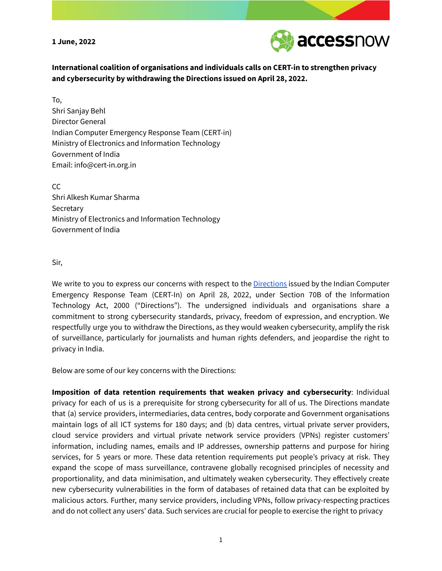**1 June, 2022**



**International coalition of organisations and individuals calls on CERT-in to strengthen privacy and cybersecurity by withdrawing the Directions issued on April 28, 2022.**

To, Shri Sanjay Behl Director General Indian Computer Emergency Response Team (CERT-in) Ministry of Electronics and Information Technology Government of India Email: info@cert-in.org.in

CC Shri Alkesh Kumar Sharma **Secretary** Ministry of Electronics and Information Technology Government of India

## Sir,

We write to you to express our concerns with respect to the [Directions](https://www.cert-in.org.in/Directions70B.jsp) issued by the Indian Computer Emergency Response Team (CERT-In) on April 28, 2022, under Section 70B of the Information Technology Act, 2000 ("Directions"). The undersigned individuals and organisations share a commitment to strong cybersecurity standards, privacy, freedom of expression, and encryption. We respectfully urge you to withdraw the Directions, as they would weaken cybersecurity, amplify the risk of surveillance, particularly for journalists and human rights defenders, and jeopardise the right to privacy in India.

Below are some of our key concerns with the Directions:

**Imposition of data retention requirements that weaken privacy and cybersecurity**: Individual privacy for each of us is a prerequisite for strong cybersecurity for all of us. The Directions mandate that (a) service providers, intermediaries, data centres, body corporate and Government organisations maintain logs of all ICT systems for 180 days; and (b) data centres, virtual private server providers, cloud service providers and virtual private network service providers (VPNs) register customers' information, including names, emails and IP addresses, ownership patterns and purpose for hiring services, for 5 years or more. These data retention requirements put people's privacy at risk. They expand the scope of mass surveillance, contravene globally recognised principles of necessity and proportionality, and data minimisation, and ultimately weaken cybersecurity. They effectively create new cybersecurity vulnerabilities in the form of databases of retained data that can be exploited by malicious actors. Further, many service providers, including VPNs, follow privacy-respecting practices and do not collect any users' data. Such services are crucial for people to exercise the right to privacy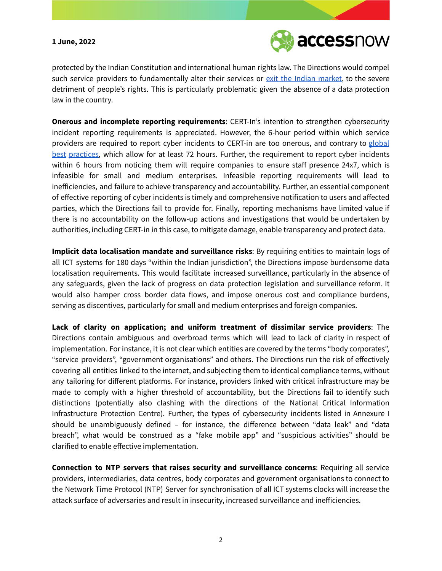## **1 June, 2022**



protected by the Indian Constitution and international human rights law. The Directions would compel such service providers to fundamentally alter their services or exit the Indian [market,](https://www.wired.com/story/india-vpn-data-law/) to the severe detriment of people's rights. This is particularly problematic given the absence of a data protection law in the country.

**Onerous and incomplete reporting requirements**: CERT-In's intention to strengthen cybersecurity incident reporting requirements is appreciated. However, the 6-hour period within which service providers are required to report cyber incidents to CERT-in are too onerous, and contrary to [global](https://gdpr-info.eu/art-33-gdpr/) [best](https://purplesec.us/nist-incident-reporting/#:~:text=According%20to%20NIST%20SP%20800,Detection) [practices,](https://www.itic.org/news-events/news-releases/iti-issues-global-policy-principles-for-security-incident-reporting) which allow for at least 72 hours. Further, the requirement to report cyber incidents within 6 hours from noticing them will require companies to ensure staff presence 24x7, which is infeasible for small and medium enterprises. Infeasible reporting requirements will lead to inefficiencies, and failure to achieve transparency and accountability. Further, an essential component of effective reporting of cyber incidents is timely and comprehensive notification to users and affected parties, which the Directions fail to provide for. Finally, reporting mechanisms have limited value if there is no accountability on the follow-up actions and investigations that would be undertaken by authorities, including CERT-in in this case, to mitigate damage, enable transparency and protect data.

**Implicit data localisation mandate and surveillance risks**: By requiring entities to maintain logs of all ICT systems for 180 days "within the Indian jurisdiction", the Directions impose burdensome data localisation requirements. This would facilitate increased surveillance, particularly in the absence of any safeguards, given the lack of progress on data protection legislation and surveillance reform. It would also hamper cross border data flows, and impose onerous cost and compliance burdens, serving as discentives, particularly for small and medium enterprises and foreign companies.

**Lack of clarity on application; and uniform treatment of dissimilar service providers**: The Directions contain ambiguous and overbroad terms which will lead to lack of clarity in respect of implementation. For instance, it is not clear which entities are covered by the terms "body corporates", "service providers", "government organisations" and others. The Directions run the risk of effectively covering all entities linked to the internet, and subjecting them to identical compliance terms, without any tailoring for different platforms. For instance, providers linked with critical infrastructure may be made to comply with a higher threshold of accountability, but the Directions fail to identify such distinctions (potentially also clashing with the directions of the National Critical Information Infrastructure Protection Centre). Further, the types of cybersecurity incidents listed in Annexure I should be unambiguously defined – for instance, the difference between "data leak" and "data breach", what would be construed as a "fake mobile app" and "suspicious activities" should be clarified to enable effective implementation.

**Connection to NTP servers that raises security and surveillance concerns**: Requiring all service providers, intermediaries, data centres, body corporates and government organisations to connect to the Network Time Protocol (NTP) Server for synchronisation of all ICT systems clocks will increase the attack surface of adversaries and result in insecurity, increased surveillance and inefficiencies.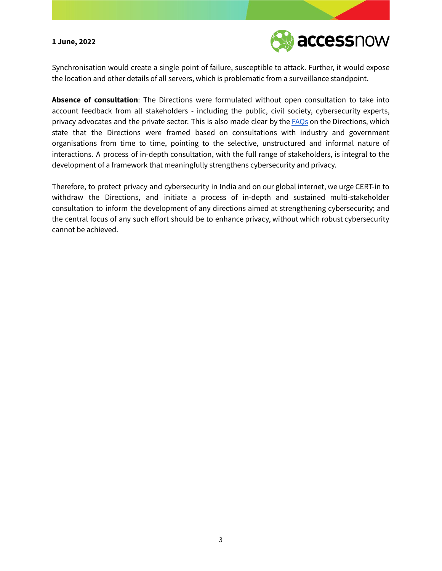## **1 June, 2022**



Synchronisation would create a single point of failure, susceptible to attack. Further, it would expose the location and other details of all servers, which is problematic from a surveillance standpoint.

**Absence of consultation**: The Directions were formulated without open consultation to take into account feedback from all stakeholders - including the public, civil society, cybersecurity experts, privacy advocates and the private sector. This is also made clear by the **FAOs** on the Directions, which state that the Directions were framed based on consultations with industry and government organisations from time to time, pointing to the selective, unstructured and informal nature of interactions. A process of in-depth consultation, with the full range of stakeholders, is integral to the development of a framework that meaningfully strengthens cybersecurity and privacy.

Therefore, to protect privacy and cybersecurity in India and on our global internet, we urge CERT-in to withdraw the Directions, and initiate a process of in-depth and sustained multi-stakeholder consultation to inform the development of any directions aimed at strengthening cybersecurity; and the central focus of any such effort should be to enhance privacy, without which robust cybersecurity cannot be achieved.